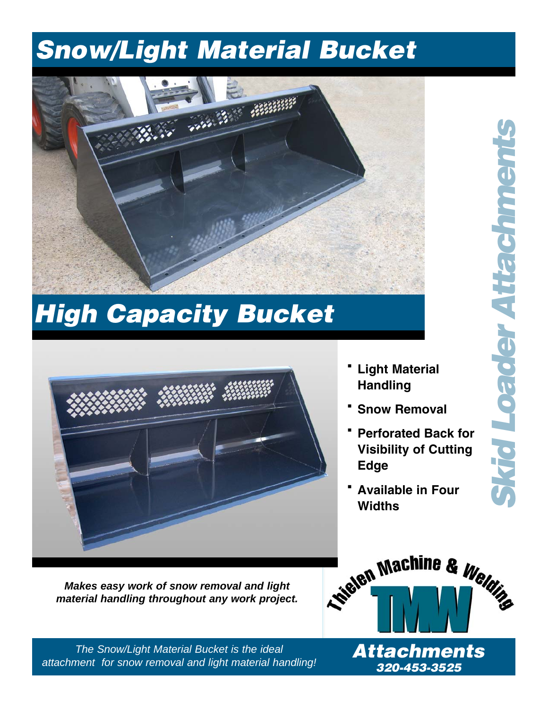## **Snow/Light Material Bucket**



## **High Capacity Bucket**



- **· Light Material Handling**
- **· Snow Removal**
- **· Perforated Back for Visibility of Cutting Edge**
- **· Available in Four Widths**

*Makes easy work of snow removal and light material handling throughout any work project.*



*The Snow/Light Material Bucket is the ideal attachment for snow removal and light material handling!* **320-453-3525**